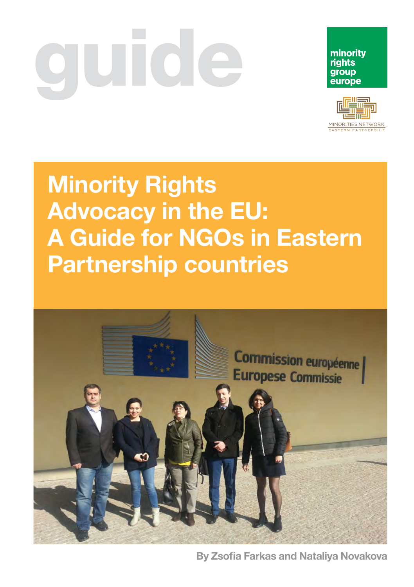# UI GIC





# Minority Rights Advocacy in the EU: A Guide for NGOs in Eastern Partnership countries



By Zsofia Farkas and Nataliya Novakova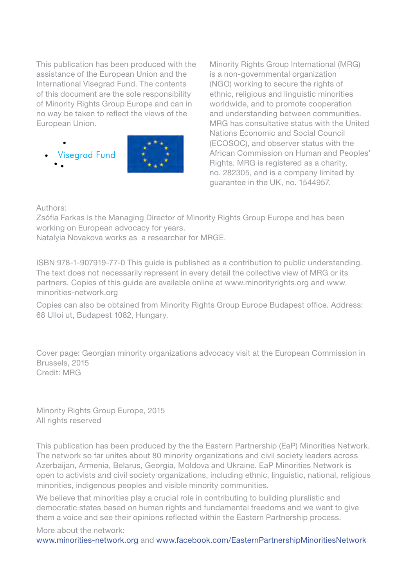This publication has been produced with the assistance of the European Union and the International Visegrad Fund. The contents of this document are the sole responsibility of Minority Rights Group Europe and can in no way be taken to reflect the views of the European Union.

**Visegrad Fund** 



Minority Rights Group International (MRG) is a non-governmental organization (NGO) working to secure the rights of ethnic, religious and linguistic minorities worldwide, and to promote cooperation and understanding between communities. MRG has consultative status with the United Nations Economic and Social Council (ECOSOC), and observer status with the African Commission on Human and Peoples' Rights. MRG is registered as a charity, no. 282305, and is a company limited by guarantee in the UK, no. 1544957.

Authors:

Zsófia Farkas is the Managing Director of Minority Rights Group Europe and has been working on European advocacy for years.

Natalyia Novakova works as a researcher for MRGE.

ISBN 978-1-907919-77-0 This guide is published as a contribution to public understanding. The text does not necessarily represent in every detail the collective view of MRG or its partners. Copies of this guide are available online at www.minorityrights.org and www. minorities-network.org

Copies can also be obtained from Minority Rights Group Europe Budapest office. Address: 68 Ulloi ut, Budapest 1082, Hungary.

Cover page: Georgian minority organizations advocacy visit at the European Commission in Brussels, 2015 Credit: MRG

Minority Rights Group Europe, 2015 All rights reserved

This publication has been produced by the the Eastern Partnership (EaP) Minorities Network. The network so far unites about 80 minority organizations and civil society leaders across Azerbaijan, Armenia, Belarus, Georgia, Moldova and Ukraine. EaP Minorities Network is open to activists and civil society organizations, including ethnic, linguistic, national, religious minorities, indigenous peoples and visible minority communities.

We believe that minorities play a crucial role in contributing to building pluralistic and democratic states based on human rights and fundamental freedoms and we want to give them a voice and see their opinions reflected within the Eastern Partnership process.

More about the network: [www.minorities-network.org](http://www.minorities-network.org) and [www.facebook.com/EasternPartnershipMinoritiesNetwork](https://www.facebook.com/EasternPartrnershipMinoritiesNetwork/?fref=ts)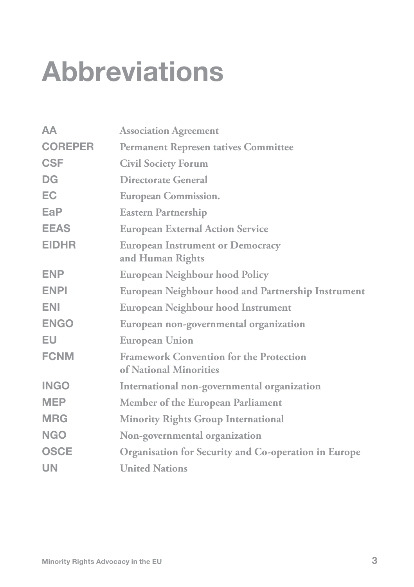# Abbreviations

| AA             | <b>Association Agreement</b>                                             |
|----------------|--------------------------------------------------------------------------|
| <b>COREPER</b> | <b>Permanent Represen tatives Committee</b>                              |
| <b>CSF</b>     | <b>Civil Society Forum</b>                                               |
| <b>DG</b>      | Directorate General                                                      |
| <b>EC</b>      | <b>European Commission.</b>                                              |
| EaP            | <b>Eastern Partnership</b>                                               |
| <b>EEAS</b>    | <b>European External Action Service</b>                                  |
| <b>EIDHR</b>   | <b>European Instrument or Democracy</b><br>and Human Rights              |
| <b>ENP</b>     | <b>European Neighbour hood Policy</b>                                    |
| <b>ENPI</b>    | <b>European Neighbour hood and Partnership Instrument</b>                |
| <b>ENI</b>     | European Neighbour hood Instrument                                       |
| <b>ENGO</b>    | European non-governmental organization                                   |
| EU             | <b>European Union</b>                                                    |
| <b>FCNM</b>    | <b>Framework Convention for the Protection</b><br>of National Minorities |
| <b>INGO</b>    | International non-governmental organization                              |
| <b>MEP</b>     | <b>Member of the European Parliament</b>                                 |
| <b>MRG</b>     | <b>Minority Rights Group International</b>                               |
| <b>NGO</b>     | Non-governmental organization                                            |
| <b>OSCE</b>    | Organisation for Security and Co-operation in Europe                     |
| <b>UN</b>      | <b>United Nations</b>                                                    |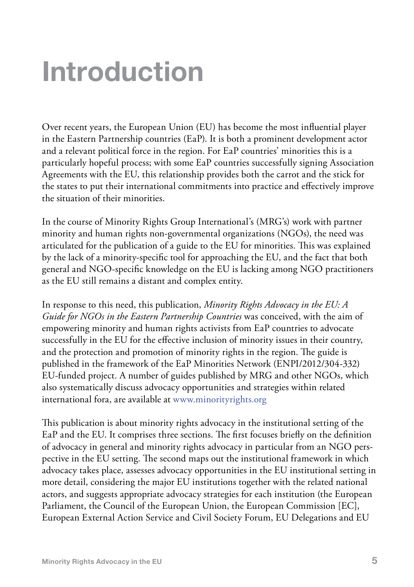# Introduction

Over recent years, the European Union (EU) has become the most influential player in the Eastern Partnership countries (EaP). It is both a prominent development actor and a relevant political force in the region. For EaP countries' minorities this is a particularly hopeful process; with some EaP countries successfully signing Association Agreements with the EU, this relationship provides both the carrot and the stick for the states to put their international commitments into practice and effectively improve the situation of their minorities.

In the course of Minority Rights Group International's (MRG's) work with partner minority and human rights non-governmental organizations (NGOs), the need was articulated for the publication of a guide to the EU for minorities. This was explained by the lack of a minority-specific tool for approaching the EU, and the fact that both general and NGO-specific knowledge on the EU is lacking among NGO practitioners as the EU still remains a distant and complex entity.

In response to this need, this publication, *Minority Rights Advocacy in the EU: A Guide for NGOs in the Eastern Partnership Countries* was conceived, with the aim of empowering minority and human rights activists from EaP countries to advocate successfully in the EU for the effective inclusion of minority issues in their country, and the protection and promotion of minority rights in the region. The guide is published in the framework of the EaP Minorities Network (ENPI/2012/304-332) EU-funded project. A number of guides published by MRG and other NGOs, which also systematically discuss advocacy opportunities and strategies within related international fora, are available at [www.minorityrights.org](http://www.minorityrights.org)

This publication is about minority rights advocacy in the institutional setting of the EaP and the EU. It comprises three sections. The first focuses briefly on the definition of advocacy in general and minority rights advocacy in particular from an NGO perspective in the EU setting. The second maps out the institutional framework in which advocacy takes place, assesses advocacy opportunities in the EU institutional setting in more detail, considering the major EU institutions together with the related national actors, and suggests appropriate advocacy strategies for each institution (the European Parliament, the Council of the European Union, the European Commission [EC], European External Action Service and Civil Society Forum, EU Delegations and EU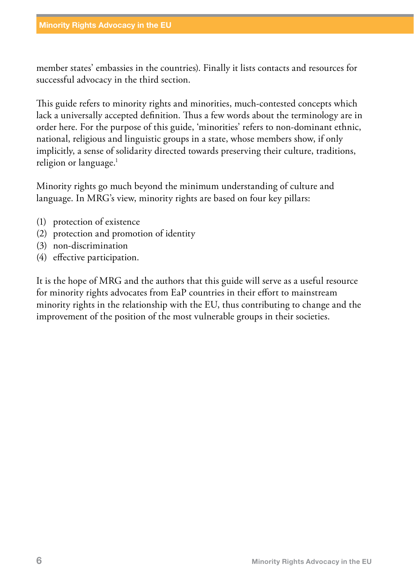member states' embassies in the countries). Finally it lists contacts and resources for successful advocacy in the third section.

This guide refers to minority rights and minorities, much-contested concepts which lack a universally accepted definition. Thus a few words about the terminology are in order here. For the purpose of this guide, 'minorities' refers to non-dominant ethnic, national, religious and linguistic groups in a state, whose members show, if only implicitly, a sense of solidarity directed towards preserving their culture, traditions, religion or language.<sup>1</sup>

Minority rights go much beyond the minimum understanding of culture and language. In MRG's view, minority rights are based on four key pillars:

- (1) protection of existence
- (2) protection and promotion of identity
- (3) non-discrimination
- (4) effective participation.

It is the hope of MRG and the authors that this guide will serve as a useful resource for minority rights advocates from EaP countries in their effort to mainstream minority rights in the relationship with the EU, thus contributing to change and the improvement of the position of the most vulnerable groups in their societies.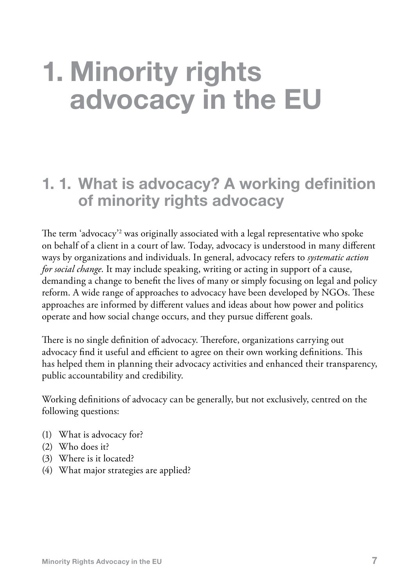# 1. Minority rights advocacy in the EU

## 1. 1. What is advocacy? A working definition of minority rights advocacy

The term 'advocacy'2 was originally associated with a legal representative who spoke on behalf of a client in a court of law. Today, advocacy is understood in many different ways by organizations and individuals. In general, advocacy refers to *systematic action for social change*. It may include speaking, writing or acting in support of a cause, demanding a change to benefit the lives of many or simply focusing on legal and policy reform. A wide range of approaches to advocacy have been developed by NGOs. These approaches are informed by different values and ideas about how power and politics operate and how social change occurs, and they pursue different goals.

There is no single definition of advocacy. Therefore, organizations carrying out advocacy find it useful and efficient to agree on their own working definitions. This has helped them in planning their advocacy activities and enhanced their transparency, public accountability and credibility.

Working definitions of advocacy can be generally, but not exclusively, centred on the following questions:

- (1) What is advocacy for?
- (2) Who does it?
- (3) Where is it located?
- (4) What major strategies are applied?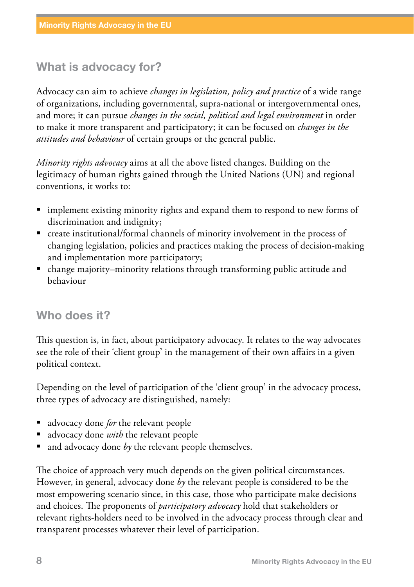#### What is advocacy for?

Advocacy can aim to achieve *changes in legislation, policy and practice* of a wide range of organizations, including governmental, supra-national or intergovernmental ones, and more; it can pursue *changes in the social, political and legal environment* in order to make it more transparent and participatory; it can be focused on *changes in the attitudes and behaviour* of certain groups or the general public.

*Minority rights advocacy* aims at all the above listed changes. Building on the legitimacy of human rights gained through the United Nations (UN) and regional conventions, it works to:

- implement existing minority rights and expand them to respond to new forms of discrimination and indignity;
- create institutional/formal channels of minority involvement in the process of changing legislation, policies and practices making the process of decision-making and implementation more participatory;
- change majority–minority relations through transforming public attitude and behaviour

#### Who does it?

This question is, in fact, about participatory advocacy. It relates to the way advocates see the role of their 'client group' in the management of their own affairs in a given political context.

Depending on the level of participation of the 'client group' in the advocacy process, three types of advocacy are distinguished, namely:

- advocacy done *for* the relevant people
- advocacy done *with* the relevant people
- and advocacy done *by* the relevant people themselves.

The choice of approach very much depends on the given political circumstances. However, in general, advocacy done *by* the relevant people is considered to be the most empowering scenario since, in this case, those who participate make decisions and choices. The proponents of *participatory advocacy* hold that stakeholders or relevant rights-holders need to be involved in the advocacy process through clear and transparent processes whatever their level of participation.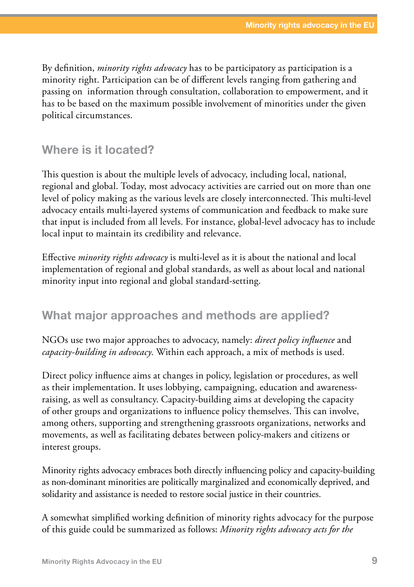By definition, *minority rights advocacy* has to be participatory as participation is a minority right. Participation can be of different levels ranging from gathering and passing on information through consultation, collaboration to empowerment, and it has to be based on the maximum possible involvement of minorities under the given political circumstances.

#### Where is it located?

This question is about the multiple levels of advocacy, including local, national, regional and global. Today, most advocacy activities are carried out on more than one level of policy making as the various levels are closely interconnected. This multi-level advocacy entails multi-layered systems of communication and feedback to make sure that input is included from all levels. For instance, global-level advocacy has to include local input to maintain its credibility and relevance.

Effective *minority rights advocacy* is multi-level as it is about the national and local implementation of regional and global standards, as well as about local and national minority input into regional and global standard-setting.

#### What major approaches and methods are applied?

NGOs use two major approaches to advocacy, namely: *direct policy influence* and *capacity-building in advocacy*. Within each approach, a mix of methods is used.

Direct policy influence aims at changes in policy, legislation or procedures, as well as their implementation. It uses lobbying, campaigning, education and awarenessraising, as well as consultancy. Capacity-building aims at developing the capacity of other groups and organizations to influence policy themselves. This can involve, among others, supporting and strengthening grassroots organizations, networks and movements, as well as facilitating debates between policy-makers and citizens or interest groups.

Minority rights advocacy embraces both directly influencing policy and capacity-building as non-dominant minorities are politically marginalized and economically deprived, and solidarity and assistance is needed to restore social justice in their countries.

A somewhat simplified working definition of minority rights advocacy for the purpose of this guide could be summarized as follows: *Minority rights advocacy acts for the*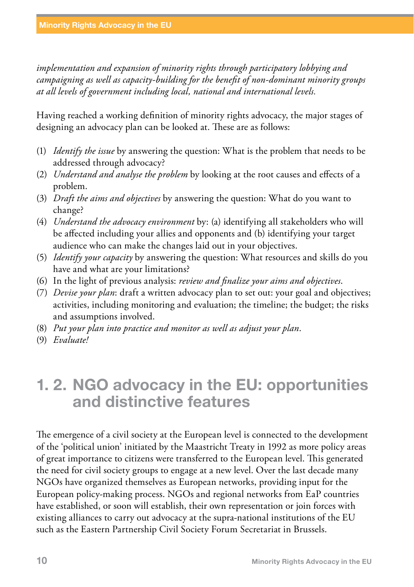*implementation and expansion of minority rights through participatory lobbying and campaigning as well as capacity-building for the benefit of non-dominant minority groups at all levels of government including local, national and international levels.*

Having reached a working definition of minority rights advocacy, the major stages of designing an advocacy plan can be looked at. These are as follows:

- (1) *Identify the issue* by answering the question: What is the problem that needs to be addressed through advocacy?
- (2) *Understand and analyse the problem* by looking at the root causes and effects of a problem.
- (3) *Draft the aims and objectives* by answering the question: What do you want to change?
- (4) *Understand the advocacy environment* by: (a) identifying all stakeholders who will be affected including your allies and opponents and (b) identifying your target audience who can make the changes laid out in your objectives.
- (5) *Identify your capacity* by answering the question: What resources and skills do you have and what are your limitations?
- (6) In the light of previous analysis: *review and finalize your aims and objectives*.
- (7) *Devise your plan*: draft a written advocacy plan to set out: your goal and objectives; activities, including monitoring and evaluation; the timeline; the budget; the risks and assumptions involved.
- (8) *Put your plan into practice and monitor as well as adjust your plan*.
- (9) *Evaluate!*

## 1. 2. NGO advocacy in the EU: opportunities and distinctive features

The emergence of a civil society at the European level is connected to the development of the 'political union' initiated by the Maastricht Treaty in 1992 as more policy areas of great importance to citizens were transferred to the European level. This generated the need for civil society groups to engage at a new level. Over the last decade many NGOs have organized themselves as European networks, providing input for the European policy-making process. NGOs and regional networks from EaP countries have established, or soon will establish, their own representation or join forces with existing alliances to carry out advocacy at the supra-national institutions of the EU such as the Eastern Partnership Civil Society Forum Secretariat in Brussels.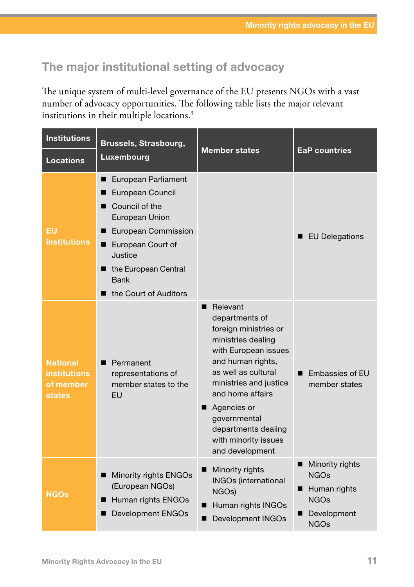#### The major institutional setting of advocacy

The unique system of multi-level governance of the EU presents NGOs with a vast number of advocacy opportunities. The following table lists the major relevant institutions in their multiple locations.3

| <b>Institutions</b>                                           | <b>Brussels, Strasbourg,</b>                                                                                                                                                                                 | <b>Member states</b>                                                                                                                                                                                                                                                                                   | <b>EaP countries</b>                                                                                       |  |
|---------------------------------------------------------------|--------------------------------------------------------------------------------------------------------------------------------------------------------------------------------------------------------------|--------------------------------------------------------------------------------------------------------------------------------------------------------------------------------------------------------------------------------------------------------------------------------------------------------|------------------------------------------------------------------------------------------------------------|--|
| <b>Locations</b>                                              | Luxembourg                                                                                                                                                                                                   |                                                                                                                                                                                                                                                                                                        |                                                                                                            |  |
| EU<br><b>institutions</b>                                     | European Parliament<br>■<br>European Council<br>Council of the<br>European Union<br>European Commission<br>European Court of<br>■<br>Justice<br>■ the European Central<br>Bank<br>the Court of Auditors<br>■ |                                                                                                                                                                                                                                                                                                        | <b>EU Delegations</b>                                                                                      |  |
| <b>National</b><br><b>institutions</b><br>of member<br>states | Permanent<br>п<br>representations of<br>member states to the<br>EU                                                                                                                                           | Relevant<br>■<br>departments of<br>foreign ministries or<br>ministries dealing<br>with European issues<br>and human rights,<br>as well as cultural<br>ministries and justice<br>and home affairs<br>Agencies or<br>■<br>governmental<br>departments dealing<br>with minority issues<br>and development | Embassies of EU<br>П<br>member states                                                                      |  |
| NGOs                                                          | Minority rights ENGOs<br>■<br>(European NGOs)<br>Human rights ENGOs<br>■<br><b>Development ENGOs</b>                                                                                                         | Minority rights<br>■<br><b>INGOs (international</b><br>NGO <sub>s</sub> )<br>■ Human rights INGOs<br>Development INGOs                                                                                                                                                                                 | Minority rights<br>ш<br><b>NGOs</b><br>Human rights<br>п<br><b>NGOs</b><br>Development<br>■<br><b>NGOs</b> |  |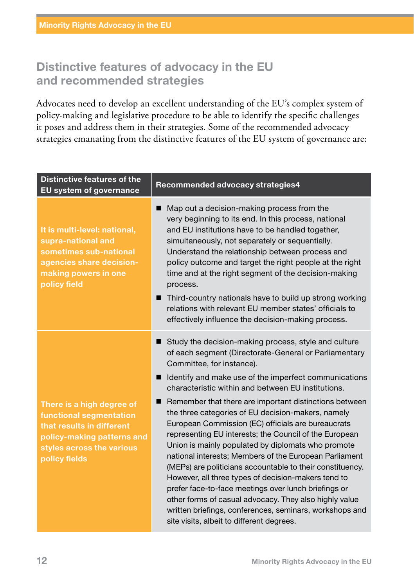#### Distinctive features of advocacy in the EU and recommended strategies

Advocates need to develop an excellent understanding of the EU's complex system of policy-making and legislative procedure to be able to identify the specific challenges it poses and address them in their strategies. Some of the recommended advocacy strategies emanating from the distinctive features of the EU system of governance are:

| <b>Distinctive features of the</b><br>EU system of governance                                                                                                 | Recommended advocacy strategies4                                                                                                                                                                                                                                                                                                                                                                                                                                                                                                                                                                                                                                                                                                                                                                                                                                                                                                                          |  |
|---------------------------------------------------------------------------------------------------------------------------------------------------------------|-----------------------------------------------------------------------------------------------------------------------------------------------------------------------------------------------------------------------------------------------------------------------------------------------------------------------------------------------------------------------------------------------------------------------------------------------------------------------------------------------------------------------------------------------------------------------------------------------------------------------------------------------------------------------------------------------------------------------------------------------------------------------------------------------------------------------------------------------------------------------------------------------------------------------------------------------------------|--|
| It is multi-level: national,<br>supra-national and<br>sometimes sub-national<br>agencies share decision-<br>making powers in one<br>policy field              | Map out a decision-making process from the<br>■<br>very beginning to its end. In this process, national<br>and EU institutions have to be handled together,<br>simultaneously, not separately or sequentially.<br>Understand the relationship between process and<br>policy outcome and target the right people at the right<br>time and at the right segment of the decision-making<br>process.<br>Third-country nationals have to build up strong working<br>relations with relevant EU member states' officials to<br>effectively influence the decision-making process.                                                                                                                                                                                                                                                                                                                                                                               |  |
| There is a high degree of<br>functional segmentation<br>that results in different<br>policy-making patterns and<br>styles across the various<br>policy fields | Study the decision-making process, style and culture<br>of each segment (Directorate-General or Parliamentary<br>Committee, for instance).<br>■ Identify and make use of the imperfect communications<br>characteristic within and between EU institutions.<br>Remember that there are important distinctions between<br>the three categories of EU decision-makers, namely<br>European Commission (EC) officials are bureaucrats<br>representing EU interests; the Council of the European<br>Union is mainly populated by diplomats who promote<br>national interests; Members of the European Parliament<br>(MEPs) are politicians accountable to their constituency.<br>However, all three types of decision-makers tend to<br>prefer face-to-face meetings over lunch briefings or<br>other forms of casual advocacy. They also highly value<br>written briefings, conferences, seminars, workshops and<br>site visits, albeit to different degrees. |  |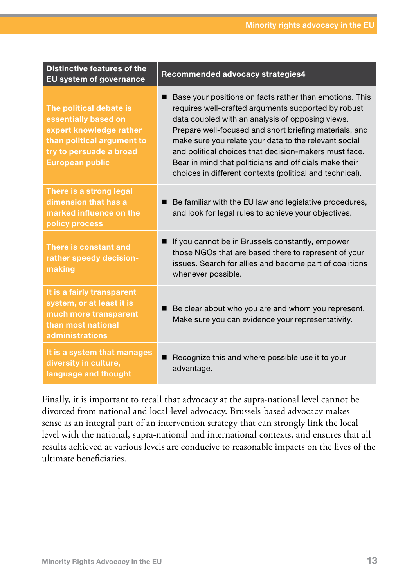| <b>Distinctive features of the</b><br>EU system of governance                                                                                                 | Recommended advocacy strategies4                                                                                                                                                                                                                                                                                                                                                                                                                                     |
|---------------------------------------------------------------------------------------------------------------------------------------------------------------|----------------------------------------------------------------------------------------------------------------------------------------------------------------------------------------------------------------------------------------------------------------------------------------------------------------------------------------------------------------------------------------------------------------------------------------------------------------------|
| The political debate is<br>essentially based on<br>expert knowledge rather<br>than political argument to<br>try to persuade a broad<br><b>European public</b> | Base your positions on facts rather than emotions. This<br>requires well-crafted arguments supported by robust<br>data coupled with an analysis of opposing views.<br>Prepare well-focused and short briefing materials, and<br>make sure you relate your data to the relevant social<br>and political choices that decision-makers must face.<br>Bear in mind that politicians and officials make their<br>choices in different contexts (political and technical). |
| There is a strong legal<br>dimension that has a<br>marked influence on the<br>policy process                                                                  | Be familiar with the EU law and legislative procedures,<br>and look for legal rules to achieve your objectives.                                                                                                                                                                                                                                                                                                                                                      |
| There is constant and<br>rather speedy decision-<br>making                                                                                                    | If you cannot be in Brussels constantly, empower<br>those NGOs that are based there to represent of your<br>issues. Search for allies and become part of coalitions<br>whenever possible.                                                                                                                                                                                                                                                                            |
| It is a fairly transparent<br>system, or at least it is<br>much more transparent<br>than most national<br>administrations                                     | Be clear about who you are and whom you represent.<br>Make sure you can evidence your representativity.                                                                                                                                                                                                                                                                                                                                                              |
| It is a system that manages<br>diversity in culture,<br>language and thought                                                                                  | Recognize this and where possible use it to your<br>advantage.                                                                                                                                                                                                                                                                                                                                                                                                       |

Finally, it is important to recall that advocacy at the supra-national level cannot be divorced from national and local-level advocacy. Brussels-based advocacy makes sense as an integral part of an intervention strategy that can strongly link the local level with the national, supra-national and international contexts, and ensures that all results achieved at various levels are conducive to reasonable impacts on the lives of the ultimate beneficiaries.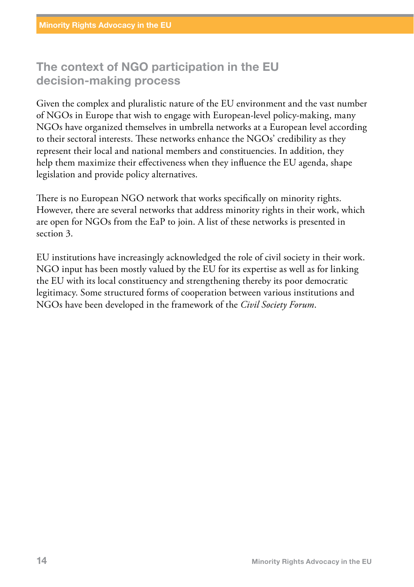#### The context of NGO participation in the EU decision-making process

Given the complex and pluralistic nature of the EU environment and the vast number of NGOs in Europe that wish to engage with European-level policy-making, many NGOs have organized themselves in umbrella networks at a European level according to their sectoral interests. These networks enhance the NGOs' credibility as they represent their local and national members and constituencies. In addition, they help them maximize their effectiveness when they influence the EU agenda, shape legislation and provide policy alternatives.

There is no European NGO network that works specifically on minority rights. However, there are several networks that address minority rights in their work, which are open for NGOs from the EaP to join. A list of these networks is presented in section 3.

EU institutions have increasingly acknowledged the role of civil society in their work. NGO input has been mostly valued by the EU for its expertise as well as for linking the EU with its local constituency and strengthening thereby its poor democratic legitimacy. Some structured forms of cooperation between various institutions and NGOs have been developed in the framework of the *Civil Society Forum*.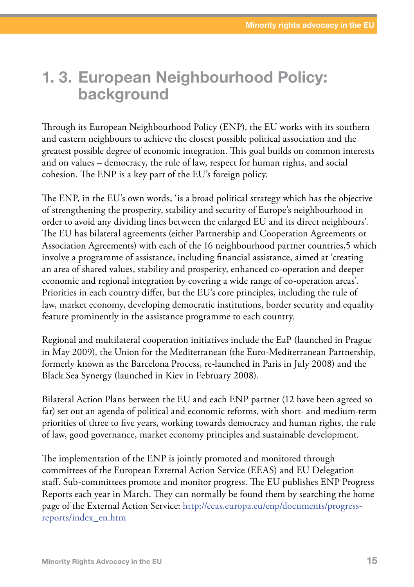## 1. 3. European Neighbourhood Policy: background

Through its European Neighbourhood Policy (ENP), the EU works with its southern and eastern neighbours to achieve the closest possible political association and the greatest possible degree of economic integration. This goal builds on common interests and on values – democracy, the rule of law, respect for human rights, and social cohesion. The ENP is a key part of the EU's foreign policy.

The ENP, in the EU's own words, 'is a broad political strategy which has the objective of strengthening the prosperity, stability and security of Europe's neighbourhood in order to avoid any dividing lines between the enlarged EU and its direct neighbours'. The EU has bilateral agreements (either Partnership and Cooperation Agreements or Association Agreements) with each of the 16 neighbourhood partner countries,5 which involve a programme of assistance, including financial assistance, aimed at 'creating an area of shared values, stability and prosperity, enhanced co-operation and deeper economic and regional integration by covering a wide range of co-operation areas'. Priorities in each country differ, but the EU's core principles, including the rule of law, market economy, developing democratic institutions, border security and equality feature prominently in the assistance programme to each country.

Regional and multilateral cooperation initiatives include the EaP (launched in Prague in May 2009), the Union for the Mediterranean (the Euro-Mediterranean Partnership, formerly known as the Barcelona Process, re-launched in Paris in July 2008) and the Black Sea Synergy (launched in Kiev in February 2008).

Bilateral Action Plans between the EU and each ENP partner (12 have been agreed so far) set out an agenda of political and economic reforms, with short- and medium-term priorities of three to five years, working towards democracy and human rights, the rule of law, good governance, market economy principles and sustainable development.

The implementation of the ENP is jointly promoted and monitored through committees of the European External Action Service (EEAS) and EU Delegation staff. Sub-committees promote and monitor progress. The EU publishes ENP Progress Reports each year in March. They can normally be found them by searching the home page of the External Action Service: [http://eeas.europa.eu/enp/documents/progress](http://eeas.europa.eu/enp/documents/progress-reports/index_en.htm)[reports/index\\_en.htm](http://eeas.europa.eu/enp/documents/progress-reports/index_en.htm)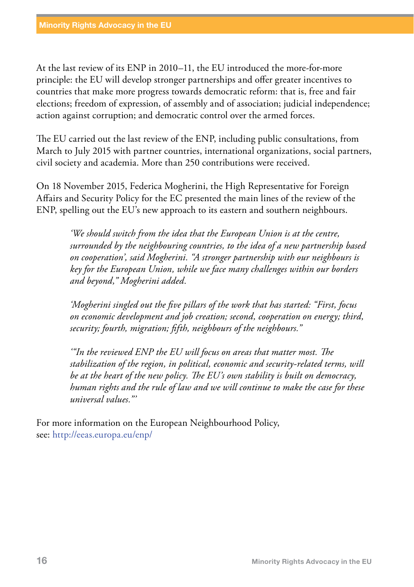At the last review of its ENP in 2010–11, the EU introduced the more-for-more principle: the EU will develop stronger partnerships and offer greater incentives to countries that make more progress towards democratic reform: that is, free and fair elections; freedom of expression, of assembly and of association; judicial independence; action against corruption; and democratic control over the armed forces.

The EU carried out the last review of the ENP, including public consultations, from March to July 2015 with partner countries, international organizations, social partners, civil society and academia. More than 250 contributions were received.

On 18 November 2015, Federica Mogherini, the High Representative for Foreign Affairs and Security Policy for the EC presented the main lines of the review of the ENP, spelling out the EU's new approach to its eastern and southern neighbours.

> *'We should switch from the idea that the European Union is at the centre, surrounded by the neighbouring countries, to the idea of a new partnership based on cooperation', said Mogherini. "A stronger partnership with our neighbours is key for the European Union, while we face many challenges within our borders and beyond," Mogherini added.*

*'Mogherini singled out the five pillars of the work that has started: "First, focus on economic development and job creation; second, cooperation on energy; third, security; fourth, migration; fifth, neighbours of the neighbours."*

*'"In the reviewed ENP the EU will focus on areas that matter most. The stabilization of the region, in political, economic and security-related terms, will be at the heart of the new policy. The EU's own stability is built on democracy, human rights and the rule of law and we will continue to make the case for these universal values."'* 

For more information on the European Neighbourhood Policy, see:<http://eeas.europa.eu/enp/>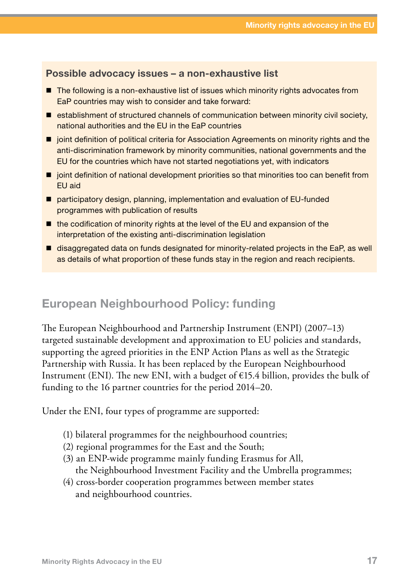#### Possible advocacy issues – a non-exhaustive list

- $\blacksquare$  The following is a non-exhaustive list of issues which minority rights advocates from EaP countries may wish to consider and take forward:
- $\blacksquare$  establishment of structured channels of communication between minority civil society, national authorities and the EU in the EaP countries
- $\blacksquare$  joint definition of political criteria for Association Agreements on minority rights and the anti-discrimination framework by minority communities, national governments and the EU for the countries which have not started negotiations yet, with indicators
- $\blacksquare$  joint definition of national development priorities so that minorities too can benefit from EU aid
- participatory design, planning, implementation and evaluation of EU-funded programmes with publication of results
- $\blacksquare$  the codification of minority rights at the level of the EU and expansion of the interpretation of the existing anti-discrimination legislation
- disaggregated data on funds designated for minority-related projects in the EaP, as well as details of what proportion of these funds stay in the region and reach recipients.

#### European Neighbourhood Policy: funding

The European Neighbourhood and Partnership Instrument (ENPI) (2007–13) targeted sustainable development and approximation to EU policies and standards, supporting the agreed priorities in the ENP Action Plans as well as the Strategic Partnership with Russia. It has been replaced by the European Neighbourhood Instrument (ENI). The new ENI, with a budget of €15.4 billion, provides the bulk of funding to the 16 partner countries for the period 2014–20.

Under the ENI, four types of programme are supported:

- (1) bilateral programmes for the neighbourhood countries;
- (2) regional programmes for the East and the South;
- (3) an ENP-wide programme mainly funding Erasmus for All, the Neighbourhood Investment Facility and the Umbrella programmes;
- (4) cross-border cooperation programmes between member states and neighbourhood countries.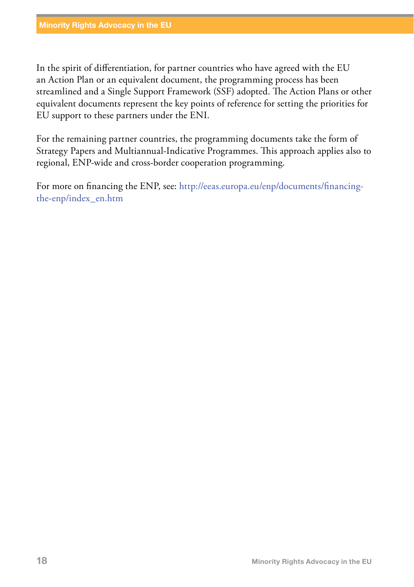In the spirit of differentiation, for partner countries who have agreed with the EU an Action Plan or an equivalent document, the programming process has been streamlined and a Single Support Framework (SSF) adopted. The Action Plans or other equivalent documents represent the key points of reference for setting the priorities for EU support to these partners under the ENI.

For the remaining partner countries, the programming documents take the form of Strategy Papers and Multiannual-Indicative Programmes. This approach applies also to regional, ENP-wide and cross-border cooperation programming.

For more on financing the ENP, see: [http://eeas.europa.eu/enp/documents/financing](http://eeas.europa.eu/enp/documents/financing-the-enp/index_en.htm)[the-enp/index\\_en.htm](http://eeas.europa.eu/enp/documents/financing-the-enp/index_en.htm)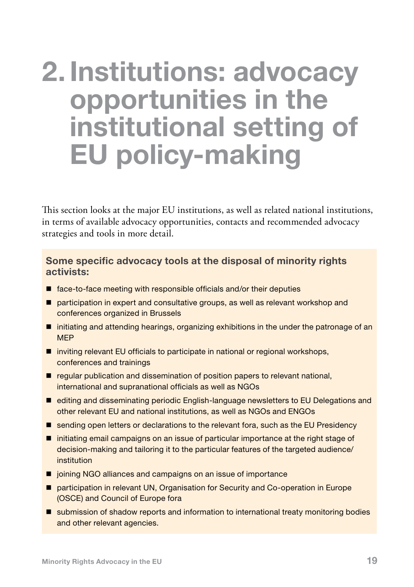# 2. Institutions: advocacy opportunities in the institutional setting of EU policy-making

This section looks at the major EU institutions, as well as related national institutions, in terms of available advocacy opportunities, contacts and recommended advocacy strategies and tools in more detail.

#### Some specific advocacy tools at the disposal of minority rights activists:

- $\blacksquare$  face-to-face meeting with responsible officials and/or their deputies
- **P** participation in expert and consultative groups, as well as relevant workshop and conferences organized in Brussels
- $\blacksquare$  initiating and attending hearings, organizing exhibitions in the under the patronage of an MEP
- $\blacksquare$  inviting relevant EU officials to participate in national or regional workshops, conferences and trainings
- regular publication and dissemination of position papers to relevant national, international and supranational officials as well as NGOs
- editing and disseminating periodic English-language newsletters to EU Delegations and other relevant EU and national institutions, as well as NGOs and ENGOs
- sending open letters or declarations to the relevant fora, such as the EU Presidency
- $\blacksquare$  initiating email campaigns on an issue of particular importance at the right stage of decision-making and tailoring it to the particular features of the targeted audience/ institution
- $\blacksquare$  joining NGO alliances and campaigns on an issue of importance
- participation in relevant UN, Organisation for Security and Co-operation in Europe (OSCE) and Council of Europe fora
- **Solution** submission of shadow reports and information to international treaty monitoring bodies and other relevant agencies.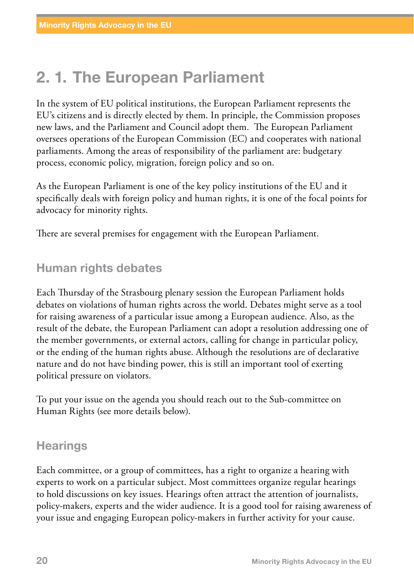# 2. 1. The European Parliament

In the system of EU political institutions, the European Parliament represents the EU's citizens and is directly elected by them. In principle, the Commission proposes new laws, and the Parliament and Council adopt them. The European Parliament oversees operations of the European Commission (EC) and cooperates with national parliaments. Among the areas of responsibility of the parliament are: budgetary process, economic policy, migration, foreign policy and so on.

As the European Parliament is one of the key policy institutions of the EU and it specifically deals with foreign policy and human rights, it is one of the focal points for advocacy for minority rights.

There are several premises for engagement with the European Parliament.

#### Human rights debates

Each Thursday of the Strasbourg plenary session the European Parliament holds debates on violations of human rights across the world. Debates might serve as a tool for raising awareness of a particular issue among a European audience. Also, as the result of the debate, the European Parliament can adopt a resolution addressing one of the member governments, or external actors, calling for change in particular policy, or the ending of the human rights abuse. Although the resolutions are of declarative nature and do not have binding power, this is still an important tool of exerting political pressure on violators.

To put your issue on the agenda you should reach out to the Sub-committee on Human Rights (see more details below).

#### **Hearings**

Each committee, or a group of committees, has a right to organize a hearing with experts to work on a particular subject. Most committees organize regular hearings to hold discussions on key issues. Hearings often attract the attention of journalists, policy-makers, experts and the wider audience. It is a good tool for raising awareness of your issue and engaging European policy-makers in further activity for your cause.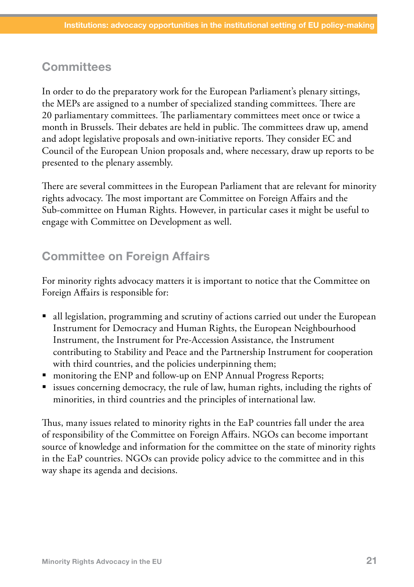#### **Committees**

In order to do the preparatory work for the European Parliament's plenary sittings, the MEPs are assigned to a number of specialized standing committees. There are 20 parliamentary committees. The parliamentary committees meet once or twice a month in Brussels. Their debates are held in public. The committees draw up, amend and adopt legislative proposals and own-initiative reports. They consider EC and Council of the European Union proposals and, where necessary, draw up reports to be presented to the plenary assembly.

There are several committees in the European Parliament that are relevant for minority rights advocacy. The most important are Committee on Foreign Affairs and the Sub-committee on Human Rights. However, in particular cases it might be useful to engage with Committee on Development as well.

#### Committee on Foreign Affairs

For minority rights advocacy matters it is important to notice that the Committee on Foreign Affairs is responsible for:

- all legislation, programming and scrutiny of actions carried out under the European Instrument for Democracy and Human Rights, the European Neighbourhood Instrument, the Instrument for Pre-Accession Assistance, the Instrument contributing to Stability and Peace and the Partnership Instrument for cooperation with third countries, and the policies underpinning them;
- monitoring the ENP and follow-up on ENP Annual Progress Reports;
- issues concerning democracy, the rule of law, human rights, including the rights of minorities, in third countries and the principles of international law.

Thus, many issues related to minority rights in the EaP countries fall under the area of responsibility of the Committee on Foreign Affairs. NGOs can become important source of knowledge and information for the committee on the state of minority rights in the EaP countries. NGOs can provide policy advice to the committee and in this way shape its agenda and decisions.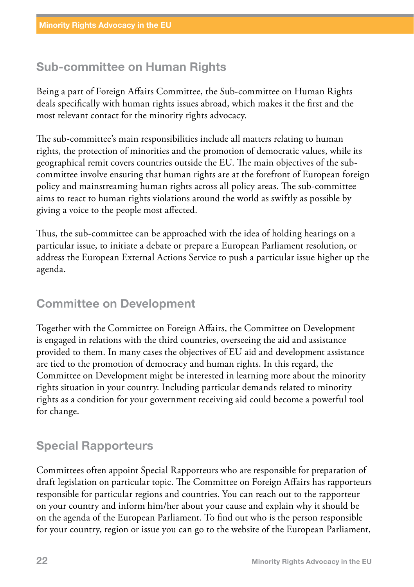#### Sub-committee on Human Rights

Being a part of Foreign Affairs Committee, the Sub-committee on Human Rights deals specifically with human rights issues abroad, which makes it the first and the most relevant contact for the minority rights advocacy.

The sub-committee's main responsibilities include all matters relating to human rights, the protection of minorities and the promotion of democratic values, while its geographical remit covers countries outside the EU. The main objectives of the subcommittee involve ensuring that human rights are at the forefront of European foreign policy and mainstreaming human rights across all policy areas. The sub-committee aims to react to human rights violations around the world as swiftly as possible by giving a voice to the people most affected.

Thus, the sub-committee can be approached with the idea of holding hearings on a particular issue, to initiate a debate or prepare a European Parliament resolution, or address the European External Actions Service to push a particular issue higher up the agenda.

#### Committee on Development

Together with the Committee on Foreign Affairs, the Committee on Development is engaged in relations with the third countries, overseeing the aid and assistance provided to them. In many cases the objectives of EU aid and development assistance are tied to the promotion of democracy and human rights. In this regard, the Committee on Development might be interested in learning more about the minority rights situation in your country. Including particular demands related to minority rights as a condition for your government receiving aid could become a powerful tool for change.

#### Special Rapporteurs

Committees often appoint Special Rapporteurs who are responsible for preparation of draft legislation on particular topic. The Committee on Foreign Affairs has rapporteurs responsible for particular regions and countries. You can reach out to the rapporteur on your country and inform him/her about your cause and explain why it should be on the agenda of the European Parliament. To find out who is the person responsible for your country, region or issue you can go to the website of the European Parliament,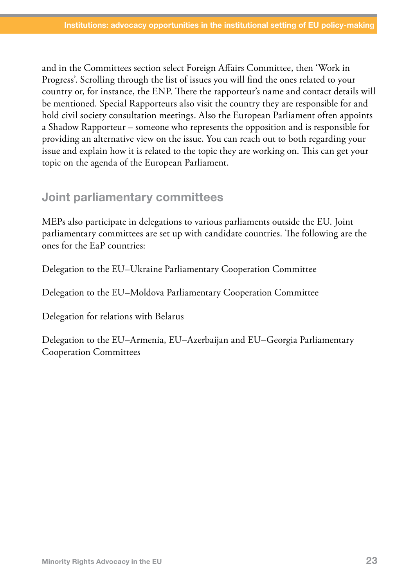and in the Committees section select Foreign Affairs Committee, then 'Work in Progress'. Scrolling through the list of issues you will find the ones related to your country or, for instance, the ENP. There the rapporteur's name and contact details will be mentioned. Special Rapporteurs also visit the country they are responsible for and hold civil society consultation meetings. Also the European Parliament often appoints a Shadow Rapporteur – someone who represents the opposition and is responsible for providing an alternative view on the issue. You can reach out to both regarding your issue and explain how it is related to the topic they are working on. This can get your topic on the agenda of the European Parliament.

#### Joint parliamentary committees

MEPs also participate in delegations to various parliaments outside the EU. Joint parliamentary committees are set up with candidate countries. The following are the ones for the EaP countries:

Delegation to the EU–Ukraine Parliamentary Cooperation Committee

Delegation to the EU–Moldova Parliamentary Cooperation Committee

Delegation for relations with Belarus

Delegation to the EU–Armenia, EU–Azerbaijan and EU–Georgia Parliamentary Cooperation Committees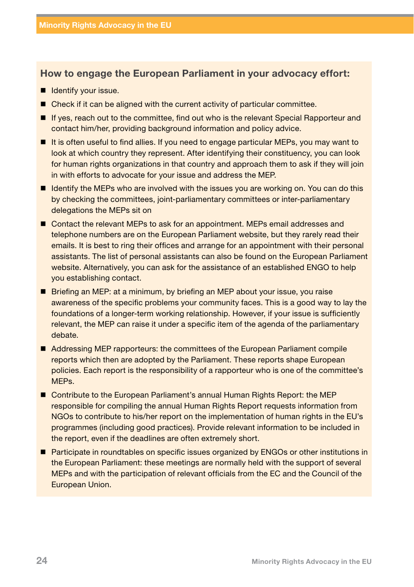#### How to engage the European Parliament in your advocacy effort:

- $\blacksquare$  Identify your issue.
- Check if it can be aligned with the current activity of particular committee.
- If yes, reach out to the committee, find out who is the relevant Special Rapporteur and contact him/her, providing background information and policy advice.
- It is often useful to find allies. If you need to engage particular MEPs, you may want to look at which country they represent. After identifying their constituency, you can look for human rights organizations in that country and approach them to ask if they will join in with efforts to advocate for your issue and address the MEP.
- If Identify the MEPs who are involved with the issues you are working on. You can do this by checking the committees, joint-parliamentary committees or inter-parliamentary delegations the MEPs sit on
- Contact the relevant MEPs to ask for an appointment. MEPs email addresses and telephone numbers are on the European Parliament website, but they rarely read their emails. It is best to ring their offices and arrange for an appointment with their personal assistants. The list of personal assistants can also be found on the European Parliament website. Alternatively, you can ask for the assistance of an established ENGO to help you establishing contact.
- Briefing an MEP; at a minimum, by briefing an MEP about your issue, you raise awareness of the specific problems your community faces. This is a good way to lay the foundations of a longer-term working relationship. However, if your issue is sufficiently relevant, the MEP can raise it under a specific item of the agenda of the parliamentary debate.
- Addressing MEP rapporteurs: the committees of the European Parliament compile reports which then are adopted by the Parliament. These reports shape European policies. Each report is the responsibility of a rapporteur who is one of the committee's MEPs.
- Contribute to the European Parliament's annual Human Rights Report: the MEP responsible for compiling the annual Human Rights Report requests information from NGOs to contribute to his/her report on the implementation of human rights in the EU's programmes (including good practices). Provide relevant information to be included in the report, even if the deadlines are often extremely short.
- Participate in roundtables on specific issues organized by ENGOs or other institutions in the European Parliament: these meetings are normally held with the support of several MEPs and with the participation of relevant officials from the EC and the Council of the European Union.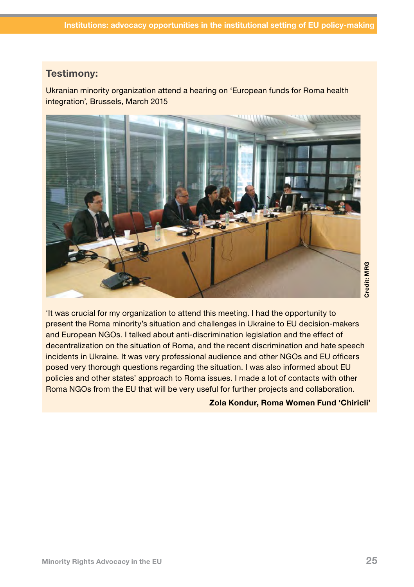#### Testimony:

Ukranian minority organization attend a hearing on 'European funds for Roma health integration', Brussels, March 2015



'It was crucial for my organization to attend this meeting. I had the opportunity to present the Roma minority's situation and challenges in Ukraine to EU decision-makers and European NGOs. I talked about anti-discrimination legislation and the effect of decentralization on the situation of Roma, and the recent discrimination and hate speech incidents in Ukraine. It was very professional audience and other NGOs and EU officers posed very thorough questions regarding the situation. I was also informed about EU policies and other states' approach to Roma issues. I made a lot of contacts with other Roma NGOs from the EU that will be very useful for further projects and collaboration. EXECTS IS Meeting. I had the opportunity to<br>allenges in Ukraine to EU decision-makers<br>imination legislation and the effect of<br>the recent discrimination and hate speech<br>audience and other NGOs and EU officers<br>situation. I w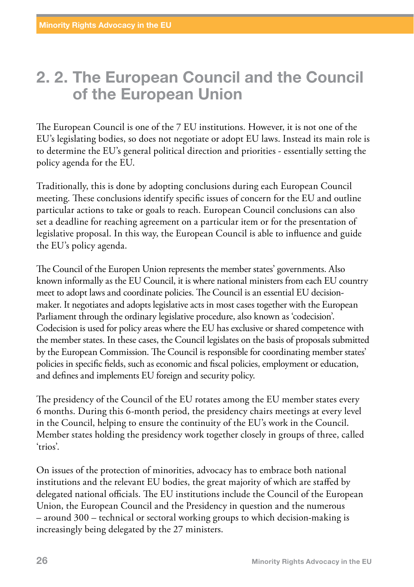## 2. 2. The European Council and the Council of the European Union

The European Council is one of the 7 EU institutions. However, it is not one of the EU's legislating bodies, so does not negotiate or adopt EU laws. Instead its main role is to determine the EU's general political direction and priorities - essentially setting the policy agenda for the EU.

Traditionally, this is done by adopting conclusions during each European Council meeting. These conclusions identify specific issues of concern for the EU and outline particular actions to take or goals to reach. European Council conclusions can also set a deadline for reaching agreement on a particular item or for the presentation of legislative proposal. In this way, the European Council is able to influence and guide the EU's policy agenda.

The Council of the Europen Union represents the member states' governments. Also known informally as the EU Council, it is where national ministers from each EU country meet to adopt laws and coordinate policies. The Council is an essential EU decisionmaker. It negotiates and adopts legislative acts in most cases together with the European Parliament through the ordinary legislative procedure, also known as 'codecision'. Codecision is used for policy areas where the EU has exclusive or shared competence with the member states. In these cases, the Council legislates on the basis of proposals submitted by the European Commission. The Council is responsible for coordinating member states' policies in specific fields, such as economic and fiscal policies, employment or education, and defines and implements EU foreign and security policy.

The presidency of the Council of the EU rotates among the EU member states every 6 months. During this 6-month period, the presidency chairs meetings at every level in the Council, helping to ensure the continuity of the EU's work in the Council. Member states holding the presidency work together closely in groups of three, called 'trios'.

On issues of the protection of minorities, advocacy has to embrace both national institutions and the relevant EU bodies, the great majority of which are staffed by delegated national officials. The EU institutions include the Council of the European Union, the European Council and the Presidency in question and the numerous – around 300 – technical or sectoral working groups to which decision-making is increasingly being delegated by the 27 ministers.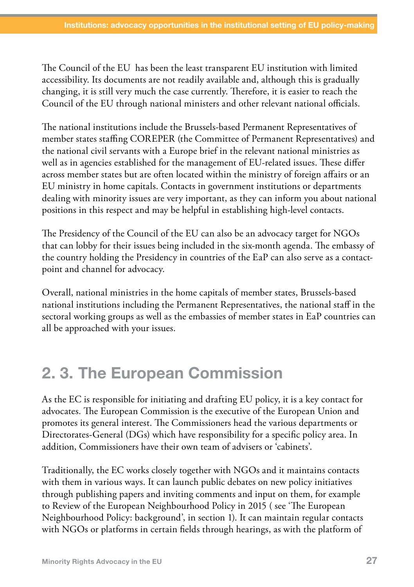The Council of the EU has been the least transparent EU institution with limited accessibility. Its documents are not readily available and, although this is gradually changing, it is still very much the case currently. Therefore, it is easier to reach the Council of the EU through national ministers and other relevant national officials.

The national institutions include the Brussels-based Permanent Representatives of member states staffing COREPER (the Committee of Permanent Representatives) and the national civil servants with a Europe brief in the relevant national ministries as well as in agencies established for the management of EU-related issues. These differ across member states but are often located within the ministry of foreign affairs or an EU ministry in home capitals. Contacts in government institutions or departments dealing with minority issues are very important, as they can inform you about national positions in this respect and may be helpful in establishing high-level contacts.

The Presidency of the Council of the EU can also be an advocacy target for NGOs that can lobby for their issues being included in the six-month agenda. The embassy of the country holding the Presidency in countries of the EaP can also serve as a contactpoint and channel for advocacy.

Overall, national ministries in the home capitals of member states, Brussels-based national institutions including the Permanent Representatives, the national staff in the sectoral working groups as well as the embassies of member states in EaP countries can all be approached with your issues.

# 2. 3. The European Commission

As the EC is responsible for initiating and drafting EU policy, it is a key contact for advocates. The European Commission is the executive of the European Union and promotes its general interest. The Commissioners head the various departments or Directorates-General (DGs) which have responsibility for a specific policy area. In addition, Commissioners have their own team of advisers or 'cabinets'.

Traditionally, the EC works closely together with NGOs and it maintains contacts with them in various ways. It can launch public debates on new policy initiatives through publishing papers and inviting comments and input on them, for example to Review of the European Neighbourhood Policy in 2015 ( see 'The European Neighbourhood Policy: background', in section 1). It can maintain regular contacts with NGOs or platforms in certain fields through hearings, as with the platform of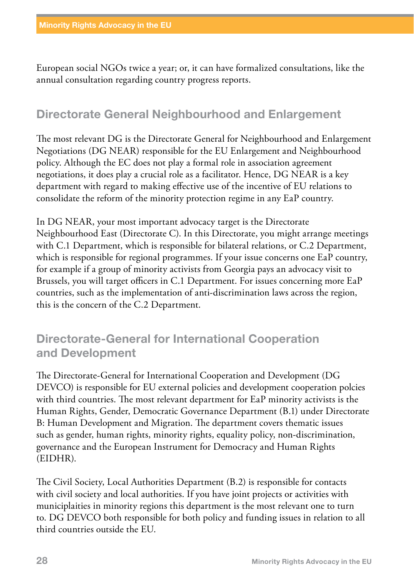European social NGOs twice a year; or, it can have formalized consultations, like the annual consultation regarding country progress reports.

#### Directorate General Neighbourhood and Enlargement

The most relevant DG is the Directorate General for Neighbourhood and Enlargement Negotiations (DG NEAR) responsible for the EU Enlargement and Neighbourhood policy. Although the EC does not play a formal role in association agreement negotiations, it does play a crucial role as a facilitator. Hence, DG NEAR is a key department with regard to making effective use of the incentive of EU relations to consolidate the reform of the minority protection regime in any EaP country.

In DG NEAR, your most important advocacy target is the Directorate Neighbourhood East (Directorate C). In this Directorate, you might arrange meetings with C.1 Department, which is responsible for bilateral relations, or C.2 Department, which is responsible for regional programmes. If your issue concerns one EaP country, for example if a group of minority activists from Georgia pays an advocacy visit to Brussels, you will target officers in C.1 Department. For issues concerning more EaP countries, such as the implementation of anti-discrimination laws across the region, this is the concern of the C.2 Department.

#### Directorate-General for International Cooperation and Development

The Directorate-General for International Cooperation and Development (DG DEVCO) is responsible for EU external policies and development cooperation polcies with third countries. The most relevant department for EaP minority activists is the Human Rights, Gender, Democratic Governance Department (B.1) under Directorate B: Human Development and Migration. The department covers thematic issues such as gender, human rights, minority rights, equality policy, non-discrimination, governance and the European Instrument for Democracy and Human Rights (EIDHR).

The Civil Society, Local Authorities Department (B.2) is responsible for contacts with civil society and local authorities. If you have joint projects or activities with municiplaities in minority regions this department is the most relevant one to turn to. DG DEVCO both responsible for both policy and funding issues in relation to all third countries outside the EU.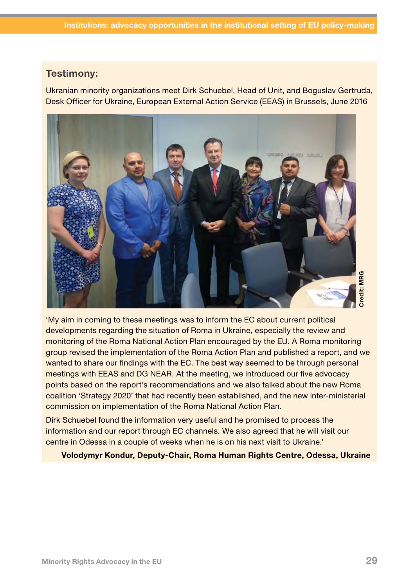#### Testimony:

Ukranian minority organizations meet Dirk Schuebel, Head of Unit, and Boguslav Gertruda, Desk Officer for Ukraine, European External Action Service (EEAS) in Brussels, June 2016



'My aim in coming to these meetings was to inform the EC about current political developments regarding the situation of Roma in Ukraine, especially the review and monitoring of the Roma National Action Plan encouraged by the EU. A Roma monitoring group revised the implementation of the Roma Action Plan and published a report, and we wanted to share our findings with the EC. The best way seemed to be through personal meetings with EEAS and DG NEAR. At the meeting, we introduced our five advocacy points based on the report's recommendations and we also talked about the new Roma coalition 'Strategy 2020' that had recently been established, and the new inter-ministerial commission on implementation of the Roma National Action Plan. Volodymyr Kondur, Deputy-Chair, Roma Human Rights Centre, Odessa, Ukraine<br>Volodymyr Kondur, Depthsion of Roma in Ukraine, especially the review and<br>itoring of the Roma National Action Plan encouraged by the EU. A Roma moni

Dirk Schuebel found the information very useful and he promised to process the information and our report through EC channels. We also agreed that he will visit our centre in Odessa in a couple of weeks when he is on his next visit to Ukraine.'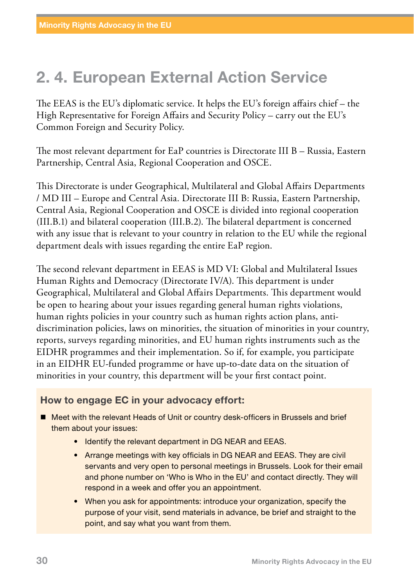# 2. 4. European External Action Service

The EEAS is the EU's diplomatic service. It helps the EU's foreign affairs chief – the High Representative for Foreign Affairs and Security Policy – carry out the EU's Common Foreign and Security Policy.

The most relevant department for EaP countries is Directorate III B – Russia, Eastern Partnership, Central Asia, Regional Cooperation and OSCE.

This Directorate is under [Geographical, Multilateral and Global Affairs Departments](http://europa.eu/whoiswho/public/index.cfm?fuseaction=idea.hierarchy&nodeid=280077)  / [MD III – Europe and Central Asia.](http://europa.eu/whoiswho/public/index.cfm?fuseaction=idea.hierarchy&nodeid=280086) Directorate III B: Russia, Eastern Partnership, Central Asia, Regional Cooperation and OSCE is divided into regional cooperation (III.B.1) and bilateral cooperation (III.B.2). The bilateral department is concerned with any issue that is relevant to your country in relation to the EU while the regional department deals with issues regarding the entire EaP region.

The second relevant department in EEAS is MD VI: Global and Multilateral Issues Human Rights and Democracy (Directorate IV/A). This department is under [Geographical, Multilateral and Global Affairs Departments.](http://europa.eu/whoiswho/public/index.cfm?fuseaction=idea.hierarchy&nodeid=280077) This department would be open to hearing about your issues regarding general human rights violations, human rights policies in your country such as human rights action plans, antidiscrimination policies, laws on minorities, the situation of minorities in your country, reports, surveys regarding minorities, and EU human rights instruments such as the EIDHR programmes and their implementation. So if, for example, you participate in an EIDHR EU-funded programme or have up-to-date data on the situation of minorities in your country, this department will be your first contact point.

#### How to engage EC in your advocacy effort:

- Meet with the relevant Heads of Unit or country desk-officers in Brussels and brief them about your issues:
	- Identify the relevant department in DG NEAR and EEAS.
	- Arrange meetings with key officials in DG NEAR and EEAS. They are civil servants and very open to personal meetings in Brussels. Look for their email and phone number on 'Who is Who in the EU' and contact directly. They will respond in a week and offer you an appointment.
	- When you ask for appointments: introduce your organization, specify the purpose of your visit, send materials in advance, be brief and straight to the point, and say what you want from them.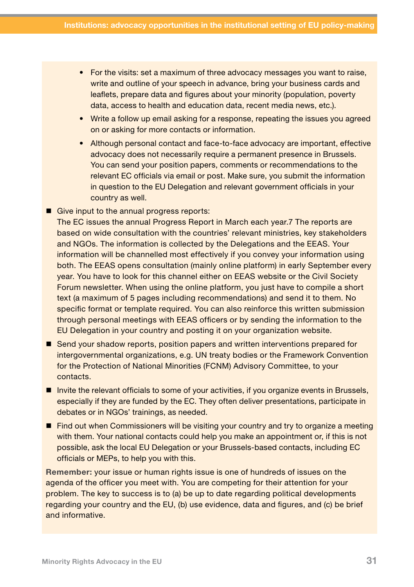- For the visits: set a maximum of three advocacy messages you want to raise, write and outline of your speech in advance, bring your business cards and leaflets, prepare data and figures about your minority (population, poverty data, access to health and education data, recent media news, etc.).
- Write a follow up email asking for a response, repeating the issues you agreed on or asking for more contacts or information.
- Although personal contact and face-to-face advocacy are important, effective advocacy does not necessarily require a permanent presence in Brussels. You can send your position papers, comments or recommendations to the relevant EC officials via email or post. Make sure, you submit the information in question to the EU Delegation and relevant government officials in your country as well.
- Give input to the annual progress reports:

The EC issues the annual Progress Report in March each year.7 The reports are based on wide consultation with the countries' relevant ministries, key stakeholders and NGOs. The information is collected by the Delegations and the EEAS. Your information will be channelled most effectively if you convey your information using both. The EEAS opens consultation (mainly online platform) in early September every year. You have to look for this channel either on EEAS website or the Civil Society Forum newsletter. When using the online platform, you just have to compile a short text (a maximum of 5 pages including recommendations) and send it to them. No specific format or template required. You can also reinforce this written submission through personal meetings with EEAS officers or by sending the information to the EU Delegation in your country and posting it on your organization website.

- Send your shadow reports, position papers and written interventions prepared for intergovernmental organizations, e.g. UN treaty bodies or the Framework Convention for the Protection of National Minorities (FCNM) Advisory Committee, to your contacts.
- **Invite the relevant officials to some of your activities, if you organize events in Brussels,** especially if they are funded by the EC. They often deliver presentations, participate in debates or in NGOs' trainings, as needed.
- Find out when Commissioners will be visiting your country and try to organize a meeting with them. Your national contacts could help you make an appointment or, if this is not possible, ask the local EU Delegation or your Brussels-based contacts, including EC officials or MEPs, to help you with this.

Remember: your issue or human rights issue is one of hundreds of issues on the agenda of the officer you meet with. You are competing for their attention for your problem. The key to success is to (a) be up to date regarding political developments regarding your country and the EU, (b) use evidence, data and figures, and (c) be brief and informative.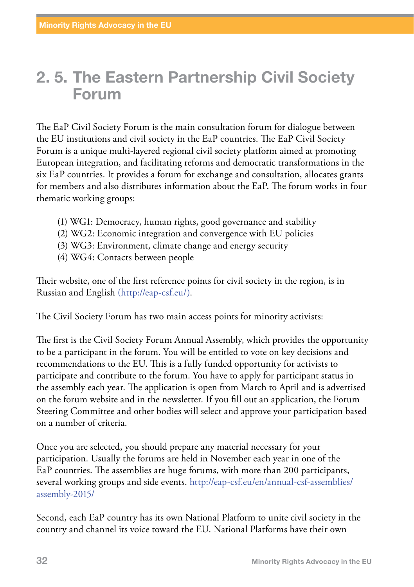## 2. 5. The Eastern Partnership Civil Society Forum

The EaP Civil Society Forum is the main consultation forum for dialogue between the EU institutions and civil society in the EaP countries. The EaP Civil Society Forum is a unique multi-layered regional civil society platform aimed at promoting European integration, and facilitating reforms and democratic transformations in the six EaP countries. It provides a forum for exchange and consultation, allocates grants for members and also distributes information about the EaP. The forum works in four thematic working groups:

- (1) [WG1: Democracy, human rights, good governance and stability](http://eap-csf.eu/en/working-groups/wg1-democracy-human-rights/)
- (2) [WG2: Economic integration and convergence with EU policies](http://eap-csf.eu/en/working-groups/wg2-economic-integration/)
- (3) [WG3: Environment, climate change and energy security](http://eap-csf.eu/en/working-groups/wg3-environment-energy/)
- (4) [WG4: Contacts between people](http://eap-csf.eu/en/working-groups/wg4-contacts-between-people/)

Their website, one of the first reference points for civil society in the region, is in Russian and English ([http://eap-csf.eu/\)](http://eap-csf.eu/).

The Civil Society Forum has two main access points for minority activists:

The first is the Civil Society Forum Annual Assembly, which provides the opportunity to be a participant in the forum. You will be entitled to vote on key decisions and recommendations to the EU. This is a fully funded opportunity for activists to participate and contribute to the forum. You have to apply for participant status in the assembly each year. The application is open from March to April and is advertised on the forum website and in the newsletter. If you fill out an application, the Forum Steering Committee and other bodies will select and approve your participation based on a number of criteria.

Once you are selected, you should prepare any material necessary for your participation. Usually the forums are held in November each year in one of the EaP countries. The assemblies are huge forums, with more than 200 participants, several working groups and side events. [http://eap-csf.eu/en/annual-csf-assemblies/](http://eap-csf.eu/en/annual-csf-assemblies/assembly-2015/) [assembly-2015/](http://eap-csf.eu/en/annual-csf-assemblies/assembly-2015/)

Second, each EaP country has its own National Platform to unite civil society in the country and channel its voice toward the EU. National Platforms have their own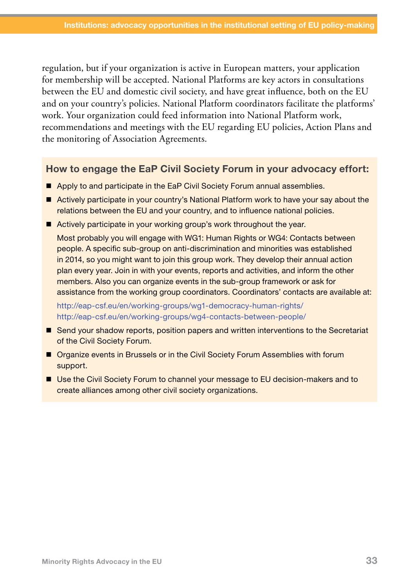regulation, but if your organization is active in European matters, your application for membership will be accepted. National Platforms are key actors in consultations between the EU and domestic civil society, and have great influence, both on the EU and on your country's policies. National Platform coordinators facilitate the platforms' work. Your organization could feed information into National Platform work, recommendations and meetings with the EU regarding EU policies, Action Plans and the monitoring of Association Agreements.

#### How to engage the EaP Civil Society Forum in your advocacy effort:

- Apply to and participate in the EaP Civil Society Forum annual assemblies.
- Actively participate in your country's National Platform work to have your say about the relations between the EU and your country, and to influence national policies.
- Actively participate in your working group's work throughout the year.

Most probably you will engage with WG1: Human Rights or WG4: Contacts between people. A specific sub-group on anti-discrimination and minorities was established in 2014, so you might want to join this group work. They develop their annual action plan every year. Join in with your events, reports and activities, and inform the other members. Also you can organize events in the sub-group framework or ask for assistance from the working group coordinators. Coordinators' contacts are available at:

<http://eap-csf.eu/en/working-groups/wg1-democracy-human-rights/> <http://eap-csf.eu/en/working-groups/wg4-contacts-between-people/>

- Send your shadow reports, position papers and written interventions to the Secretariat of the Civil Society Forum.
- **Organize events in Brussels or in the Civil Society Forum Assemblies with forum** support.
- Use the Civil Society Forum to channel your message to EU decision-makers and to create alliances among other civil society organizations.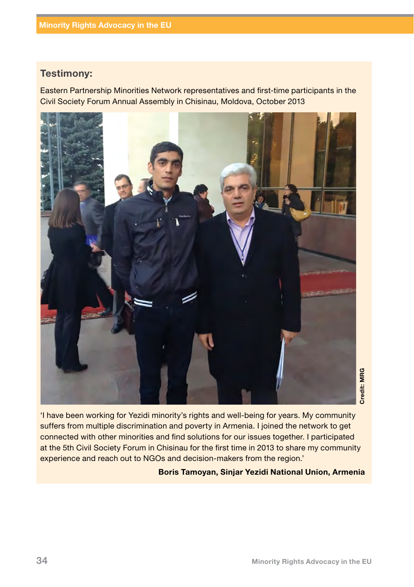#### Testimony:

Eastern Partnership Minorities Network representatives and first-time participants in the Civil Society Forum Annual Assembly in Chisinau, Moldova, October 2013



'I have been working for Yezidi minority's rights and well-being for years. My community suffers from multiple discrimination and poverty in Armenia. I joined the network to get connected with other minorities and find solutions for our issues together. I participated at the 5th Civil Society Forum in Chisinau for the first time in 2013 to share my community experience and reach out to NGOs and decision-makers from the region.' Boris Tamoyan, Sinjar Yezidi National Union, Armenia<br>Boris Tamoyan, Singleton Charles and Scheme Chiefen and find solutions for our issues together. I participated<br>Chisinau for the first time in 2013 to share my community<br>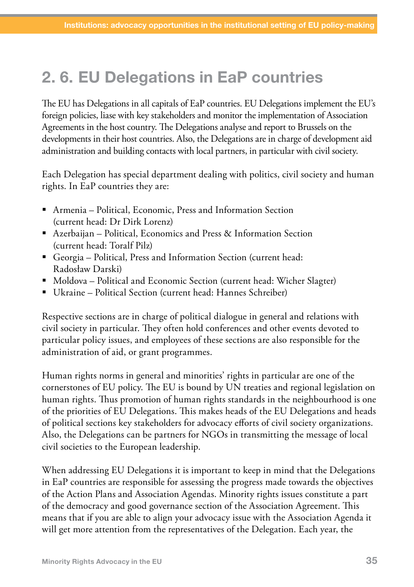# 2. 6. EU Delegations in EaP countries

The EU has Delegations in all capitals of EaP countries. EU Delegations implement the EU's foreign policies, liase with key stakeholders and monitor the implementation of Association Agreements in the host country. The Delegations analyse and report to Brussels on the developments in their host countries. Also, the Delegations are in charge of development aid administration and building contacts with local partners, in particular with civil society.

Each Delegation has special department dealing with politics, civil society and human rights. In EaP countries they are:

- Armenia Political, Economic, Press and Information Section (current head: Dr Dirk Lorenz)
- Azerbaijan Political, Economics and Press & Information Section (current head: Toralf Pilz)
- Georgia Political, Press and Information Section (current head: Radosław Darski)
- Moldova Political and Economic Section (current head: Wicher Slagter)
- Ukraine Political Section (current head: Hannes Schreiber)

Respective sections are in charge of political dialogue in general and relations with civil society in particular. They often hold conferences and other events devoted to particular policy issues, and employees of these sections are also responsible for the administration of aid, or grant programmes.

Human rights norms in general and minorities' rights in particular are one of the cornerstones of EU policy. The EU is bound by UN treaties and regional legislation on human rights. Thus promotion of human rights standards in the neighbourhood is one of the priorities of EU Delegations. This makes heads of the EU Delegations and heads of political sections key stakeholders for advocacy efforts of civil society organizations. Also, the Delegations can be partners for NGOs in transmitting the message of local civil societies to the European leadership.

When addressing EU Delegations it is important to keep in mind that the Delegations in EaP countries are responsible for assessing the progress made towards the objectives of the Action Plans and Association Agendas. Minority rights issues constitute a part of the democracy and good governance section of the Association Agreement. This means that if you are able to align your advocacy issue with the Association Agenda it will get more attention from the representatives of the Delegation. Each year, the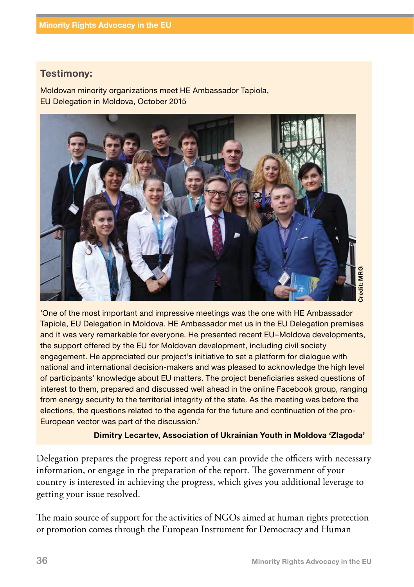#### Testimony:

Moldovan minority organizations meet HE Ambassador Tapiola, EU Delegation in Moldova, October 2015



'One of the most important and impressive meetings was the one with HE Ambassador Tapiola, EU Delegation in Moldova. HE Ambassador met us in the EU Delegation premises and it was very remarkable for everyone. He presented recent EU–Moldova developments, the support offered by the EU for Moldovan development, including civil society engagement. He appreciated our project's initiative to set a platform for dialogue with national and international decision-makers and was pleased to acknowledge the high level of participants' knowledge about EU matters. The project beneficiaries asked questions of interest to them, prepared and discussed well ahead in the online Facebook group, ranging from energy security to the territorial integrity of the state. As the meeting was before the elections, the questions related to the agenda for the future and continuation of the pro-European vector was part of the discussion.'

#### Dimitry Lecartev, Association of Ukrainian Youth in Moldova 'Zlagoda'

Delegation prepares the progress report and you can provide the officers with necessary information, or engage in the preparation of the report. The government of your country is interested in achieving the progress, which gives you additional leverage to getting your issue resolved.

The main source of support for the activities of NGOs aimed at human rights protection or promotion comes through [the European Instrument for Democracy and Human](http://eeas.europa.eu/delegations/georgia/eu_georgia/tech_financial_cooperation/instruments/european_instrument_for_democracy/index_en.htm)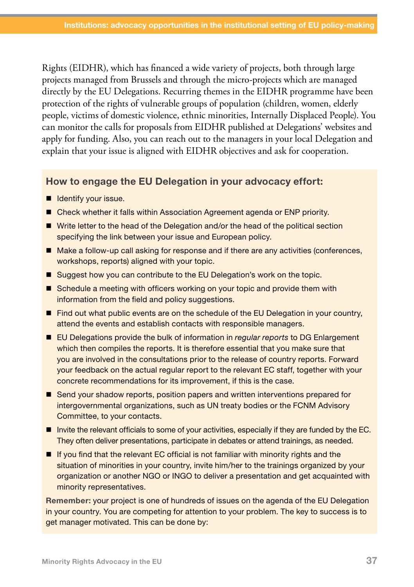[Rights](http://eeas.europa.eu/delegations/georgia/eu_georgia/tech_financial_cooperation/instruments/european_instrument_for_democracy/index_en.htm) (EIDHR), which has financed a wide variety of projects, both through large projects managed from Brussels and through the micro-projects which are managed directly by the EU Delegations. Recurring themes in the EIDHR programme have been protection of the rights of vulnerable groups of population (children, women, elderly people, victims of domestic violence, ethnic minorities, Internally Displaced People). You can monitor the calls for proposals from EIDHR published at Delegations' websites and apply for funding. Also, you can reach out to the managers in your local Delegation and explain that your issue is aligned with EIDHR objectives and ask for cooperation.

#### How to engage the EU Delegation in your advocacy effort:

- **I** Identify your issue.
- Check whether it falls within Association Agreement agenda or ENP priority.
- Write letter to the head of the Delegation and/or the head of the political section specifying the link between your issue and European policy.
- Make a follow-up call asking for response and if there are any activities (conferences, workshops, reports) aligned with your topic.
- Suggest how you can contribute to the EU Delegation's work on the topic.
- Schedule a meeting with officers working on your topic and provide them with information from the field and policy suggestions.
- **Find out what public events are on the schedule of the EU Delegation in your country,** attend the events and establish contacts with responsible managers.
- EU Delegations provide the bulk of information in *regular reports* to DG Enlargement which then compiles the reports. It is therefore essential that you make sure that you are involved in the consultations prior to the release of country reports. Forward your feedback on the actual regular report to the relevant EC staff, together with your concrete recommendations for its improvement, if this is the case.
- Send your shadow reports, position papers and written interventions prepared for intergovernmental organizations, such as UN treaty bodies or the FCNM Advisory Committee, to your contacts.
- Invite the relevant officials to some of your activities, especially if they are funded by the EC. They often deliver presentations, participate in debates or attend trainings, as needed.
- $\blacksquare$  If you find that the relevant EC official is not familiar with minority rights and the situation of minorities in your country, invite him/her to the trainings organized by your organization or another NGO or INGO to deliver a presentation and get acquainted with minority representatives.

Remember: your project is one of hundreds of issues on the agenda of the EU Delegation in your country. You are competing for attention to your problem. The key to success is to get manager motivated. This can be done by: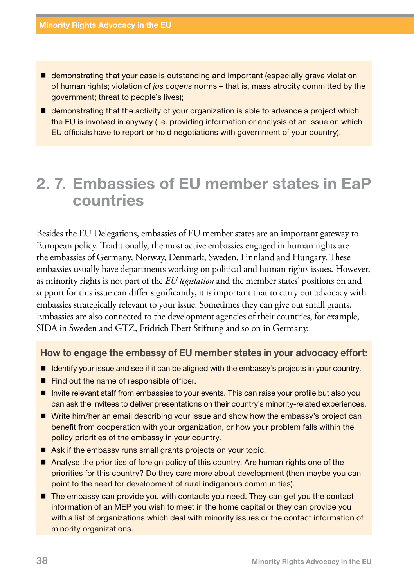- demonstrating that your case is outstanding and important (especially grave violation of human rights; violation of *jus cogens* norms – that is, mass atrocity committed by the government; threat to people's lives);
- $\blacksquare$  demonstrating that the activity of your organization is able to advance a project which the EU is involved in anyway (i.e. providing information or analysis of an issue on which EU officials have to report or hold negotiations with government of your country).

### 2. 7. Embassies of EU member states in EaP countries

Besides the EU Delegations, embassies of EU member states are an important gateway to European policy. Traditionally, the most active embassies engaged in human rights are the embassies of Germany, Norway, Denmark, Sweden, Finnland and Hungary. These embassies usually have departments working on political and human rights issues. However, as minority rights is not part of the *EU legislation* and the member states' positions on and support for this issue can differ significantly, it is important that to carry out advocacy with embassies strategically relevant to your issue. Sometimes they can give out small grants. Embassies are also connected to the development agencies of their countries, for example, SIDA in Sweden and GTZ, Fridrich Ebert Stiftung and so on in Germany.

#### How to engage the embassy of EU member states in your advocacy effort:

- If Identify your issue and see if it can be aligned with the embassy's projects in your country.
- Find out the name of responsible officer.
- Invite relevant staff from embassies to your events. This can raise your profile but also you can ask the invitees to deliver presentations on their country's minority-related experiences.
- Write him/her an email describing your issue and show how the embassy's project can benefit from cooperation with your organization, or how your problem falls within the policy priorities of the embassy in your country.
- Ask if the embassy runs small grants projects on your topic.
- Analyse the priorities of foreign policy of this country. Are human rights one of the priorities for this country? Do they care more about development (then maybe you can point to the need for development of rural indigenous communities).
- The embassy can provide you with contacts you need. They can get you the contact information of an MEP you wish to meet in the home capital or they can provide you with a list of organizations which deal with minority issues or the contact information of minority organizations.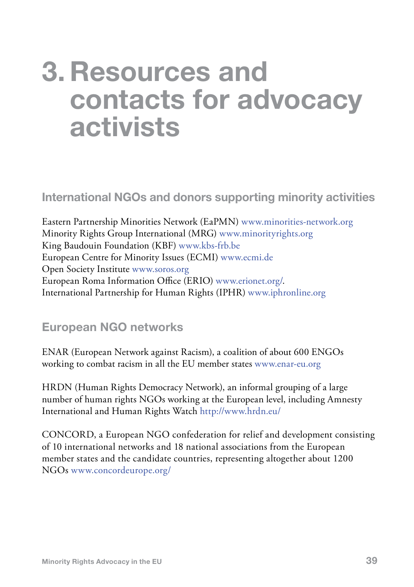# 3. Resources and contacts for advocacy activists

#### International NGOs and donors supporting minority activities

Eastern Partnership Minorities Network (EaPMN) [www.minorities-network.org](http://www.minorities-network.org) Minority Rights Group International (MRG) [www.minorityrights.org](http://www.minorityrights.org) King Baudouin Foundation (KBF) [www.kbs-frb.be](http://www.kbs-frb.be) European Centre for Minority Issues (ECMI) [www.ecmi.de](http://www.ecmi.de) Open Society Institute [www.soros.org](http://www.soros.org/initiatives/regions/south-eastern_europe) European Roma Information Office (ERIO) [www.erionet.org/](http://www.erionet.org/). International Partnership for Human Rights (IPHR) [www.iphronline.org](http://www.iphronline.org)

#### European NGO networks

ENAR (European Network against Racism), a coalition of about 600 ENGOs working to combat racism in all the EU member states [www.enar-eu.org](http://www.enar-eu.org/)

HRDN (Human Rights Democracy Network), an informal grouping of a large number of human rights NGOs working at the European level, including Amnesty International and Human Rights Watch <http://www.hrdn.eu/>

CONCORD, a European NGO confederation for relief and development consisting of 10 international networks and 18 national associations from the European member states and the candidate countries, representing altogether about 1200 NGOs [www.concordeurope.org/](http://www.concordeurope.org/)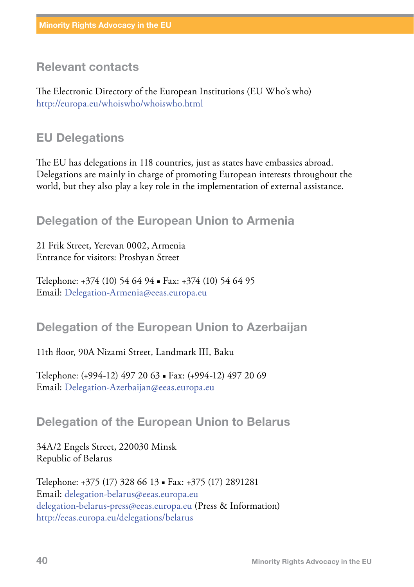#### Relevant contacts

The Electronic Directory of the European Institutions (EU Who's who) <http://europa.eu/whoiswho/whoiswho.html>

#### EU Delegations

The EU has delegations in 118 countries, just as states have embassies abroad. Delegations are mainly in charge of promoting European interests throughout the world, but they also play a key role in the implementation of external assistance.

#### Delegation of the European Union to Armenia

21 Frik Street, Yerevan 0002, Armenia Entrance for visitors: Proshyan Street

Telephone: +374 (10) 54 64 94 ▪ Fax: +374 (10) 54 64 95 Email: [Delegation-Armenia@eeas.europa.eu](mailto:Delegation-Armenia@eeas.europa.eu)

#### Delegation of the European Union to Azerbaijan

11th floor, 90A Nizami Street, Landmark III, Baku

Telephone: (+994-12) 497 20 63 ▪ Fax: (+994-12) 497 20 69 Email: [Delegation-Azerbaijan@eeas.europa.eu](mailto:Delegation-Azerbaijan@eeas.europa.eu)

#### Delegation of the European Union to Belarus

34A/2 Engels Street, 220030 Minsk Republic of Belarus

Telephone: +375 (17) 328 66 13 ▪ Fax: +375 (17) 2891281 Email: [delegation-belarus@eeas.europa.eu](mailto:delegation-belarus%40eeas.europa.eu?subject=) [delegation-belarus-press@eeas.europa.eu](mailto:press@delukr.eeas.europa.eu) (Press & Information) <http://eeas.europa.eu/delegations/belarus>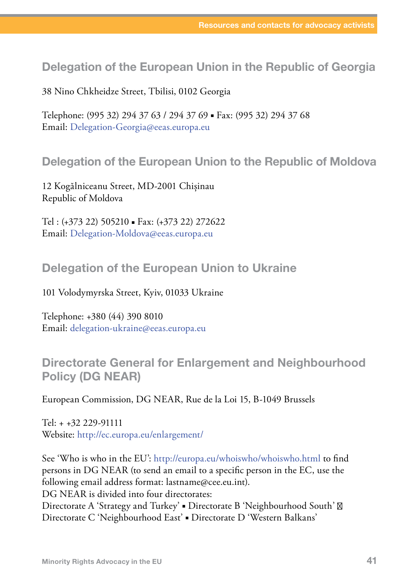#### Delegation of the European Union in the Republic of Georgia

38 Nino Chkheidze Street, Tbilisi, 0102 Georgia

Telephone: (995 32) 294 37 63 / 294 37 69 ▪ Fax: (995 32) 294 37 68 Email: [Delegation-Georgia@eeas.europa.eu](mailto:Delegation-Georgia@eeas.europa.eu) 

#### Delegation of the European Union to the Republic of Moldova

12 Kogălniceanu Street, MD-2001 Chișinau Republic of Moldova

Tel : (+373 22) 505210 ▪ Fax: (+373 22) 272622 Email: [Delegation-Moldova@eeas.europa.eu](mailto:Delegation-Moldova@eeas.europa.eu)

#### Delegation of the European Union to Ukraine

101 Volodymyrska Street, Kyiv, 01033 Ukraine

Telephone: +380 (44) 390 8010 Email: [delegation-ukraine@eeas.europa.eu](mailto:delegation-ukraine@eeas.europa.eu)

#### Directorate General for Enlargement and Neighbourhood Policy (DG NEAR)

European Commission, DG NEAR, Rue de la Loi 15, B-1049 Brussels

Tel: + +32 229-91111 Website:<http://ec.europa.eu/enlargement/>

See 'Who is who in the EU': <http://europa.eu/whoiswho/whoiswho.html> to find persons in DG NEAR (to send an email to a specific person in the EC, use the following email address format: lastname@cee.eu.int). DG NEAR is divided into four directorates: Directorate A 'Strategy and Turkey' · Directorate B 'Neighbourhood South' Directorate C 'Neighbourhood East' ▪ Directorate D 'Western Balkans'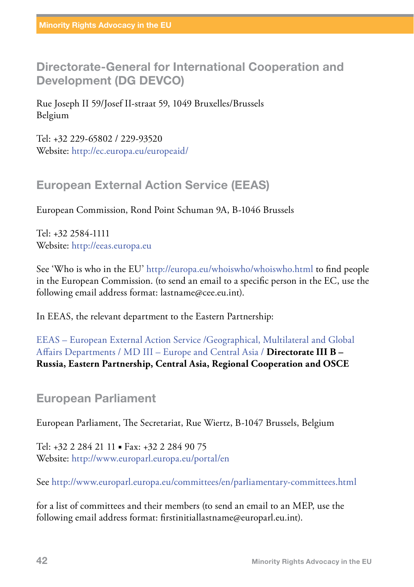Directorate-General for International Cooperation and Development (DG DEVCO)

Rue Joseph II 59/Josef II-straat 59, 1049 Bruxelles/Brussels Belgium

Tel: +32 229-65802 / 229-93520 Website: http://ec.europa.eu/europeaid/

#### European External Action Service (EEAS)

European Commission, Rond Point Schuman 9A, B-1046 Brussels

Tel: +32 2584-1111 Website: <http://eeas.europa.eu>

See 'Who is who in the EU' <http://europa.eu/whoiswho/whoiswho.html>to find people in the European Commission. (to send an email to a specific person in the EC, use the following email address format: lastname@cee.eu.int).

In EEAS, the relevant department to the Eastern Partnership:

[EEAS – European External Action Service](http://europa.eu/whoiswho/public/index.cfm?fuseaction=idea.hierarchy&nodeid=269879) [/Geographical, Multilateral and Global](http://europa.eu/whoiswho/public/index.cfm?fuseaction=idea.hierarchy&nodeid=280077)  [Affairs Departments](http://europa.eu/whoiswho/public/index.cfm?fuseaction=idea.hierarchy&nodeid=280077) / [MD III – Europe and Central Asia](http://europa.eu/whoiswho/public/index.cfm?fuseaction=idea.hierarchy&nodeid=280086) / **Directorate III B – Russia, Eastern Partnership, Central Asia, Regional Cooperation and OSCE**

#### European Parliament

European Parliament, The Secretariat, Rue Wiertz, B-1047 Brussels, Belgium

Tel: +32 2 284 21 11 • Fax: +32 2 284 90 75 Website: <http://www.europarl.europa.eu/portal/en>

See<http://www.europarl.europa.eu/committees/en/parliamentary-committees.html>

for a list of committees and their members (to send an email to an MEP, use the following email address format: firstinitiallastname@europarl.eu.int).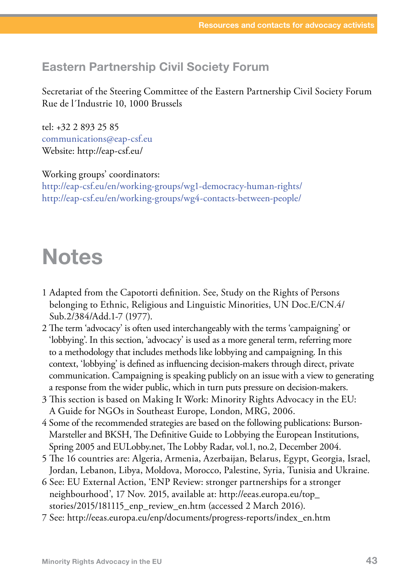#### Eastern Partnership Civil Society Forum

Secretariat of the Steering Committee of the Eastern Partnership Civil Society Forum Rue de l´Industrie 10, 1000 Brussels

tel: +32 2 893 25 85 [communications@eap-csf.eu](mailto:communications@eap-csf.eu) Website: http://eap-csf.eu/

Working groups' coordinators: <http://eap-csf.eu/en/working-groups/wg1-democracy-human-rights/> <http://eap-csf.eu/en/working-groups/wg4-contacts-between-people/>

# Notes

- 1 Adapted from the Capotorti definition. See, Study on the Rights of Persons belonging to Ethnic, Religious and Linguistic Minorities, UN Doc.E/CN.4/ Sub.2/384/Add.1-7 (1977).
- 2 The term 'advocacy' is often used interchangeably with the terms 'campaigning' or 'lobbying'. In this section, 'advocacy' is used as a more general term, referring more to a methodology that includes methods like lobbying and campaigning. In this context, 'lobbying' is defined as influencing decision-makers through direct, private communication. Campaigning is speaking publicly on an issue with a view to generating a response from the wider public, which in turn puts pressure on decision-makers.
- 3 This section is based on Making It Work: Minority Rights Advocacy in the EU: A Guide for NGOs in Southeast Europe, London, MRG, 2006.
- 4 Some of the recommended strategies are based on the following publications: Burson-Marsteller and BKSH, The Definitive Guide to Lobbying the European Institutions, Spring 2005 and EULobby.net, The Lobby Radar, vol.1, no.2, December 2004.
- 5 The 16 countries are: Algeria, Armenia, Azerbaijan, Belarus, Egypt, Georgia, Israel, Jordan, Lebanon, Libya, Moldova, Morocco, Palestine, Syria, Tunisia and Ukraine.
- 6 See: EU External Action, 'ENP Review: stronger partnerships for a stronger neighbourhood', 17 Nov. 2015, available at: http://eeas.europa.eu/top\_ stories/2015/181115\_enp\_review\_en.htm (accessed 2 March 2016).
- 7 See: [http://eeas.europa.eu/enp/documents/progress-reports/index\\_en.htm](http://eeas.europa.eu/enp/documents/progress-reports/index_en.htm)